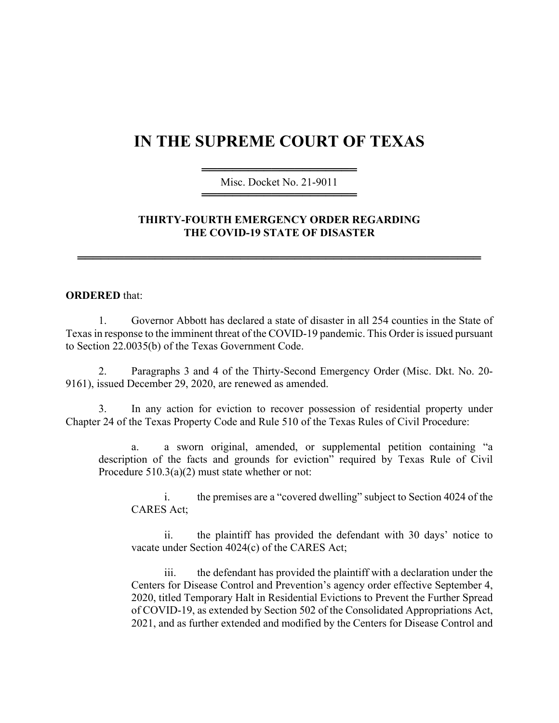## **IN THE SUPREME COURT OF TEXAS**

════════════════════ Misc. Docket No. 21-9011 ════════════════════

## **THIRTY-FOURTH EMERGENCY ORDER REGARDING THE COVID-19 STATE OF DISASTER**

════════════════════════════════════════════════════

## **ORDERED** that:

1. Governor Abbott has declared a state of disaster in all 254 counties in the State of Texas in response to the imminent threat of the COVID-19 pandemic. This Order is issued pursuant to Section 22.0035(b) of the Texas Government Code.

2. Paragraphs 3 and 4 of the Thirty-Second Emergency Order (Misc. Dkt. No. 20- 9161), issued December 29, 2020, are renewed as amended.

3. In any action for eviction to recover possession of residential property under Chapter 24 of the Texas Property Code and Rule 510 of the Texas Rules of Civil Procedure:

a. a sworn original, amended, or supplemental petition containing "a description of the facts and grounds for eviction" required by Texas Rule of Civil Procedure 510.3(a)(2) must state whether or not:

i. the premises are a "covered dwelling" subject to Section 4024 of the CARES Act;

ii. the plaintiff has provided the defendant with 30 days' notice to vacate under Section 4024(c) of the CARES Act;

iii. the defendant has provided the plaintiff with a declaration under the Centers for Disease Control and Prevention's agency order effective September 4, 2020, titled Temporary Halt in Residential Evictions to Prevent the Further Spread of COVID-19, as extended by Section 502 of the Consolidated Appropriations Act, 2021, and as further extended and modified by the Centers for Disease Control and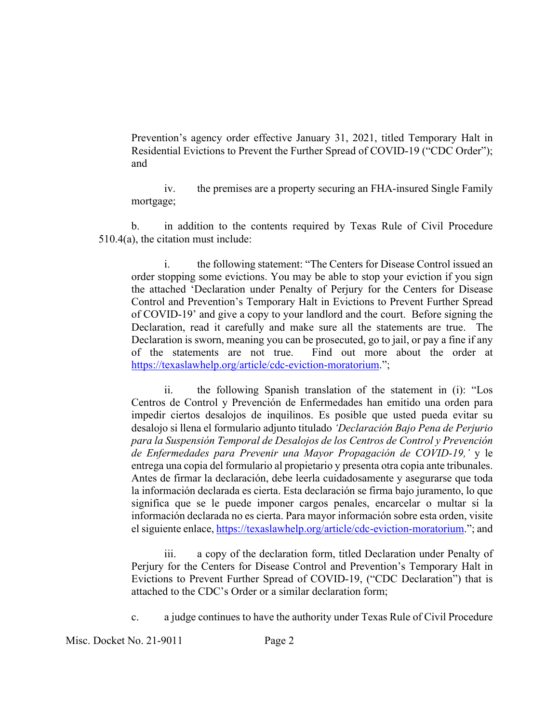Prevention's agency order effective January 31, 2021, titled Temporary Halt in Residential Evictions to Prevent the Further Spread of COVID-19 ("CDC Order"); and

iv. the premises are a property securing an FHA-insured Single Family mortgage;

b. in addition to the contents required by Texas Rule of Civil Procedure 510.4(a), the citation must include:

i. the following statement: "The Centers for Disease Control issued an order stopping some evictions. You may be able to stop your eviction if you sign the attached 'Declaration under Penalty of Perjury for the Centers for Disease Control and Prevention's Temporary Halt in Evictions to Prevent Further Spread of COVID-19' and give a copy to your landlord and the court. Before signing the Declaration, read it carefully and make sure all the statements are true. The Declaration is sworn, meaning you can be prosecuted, go to jail, or pay a fine if any of the statements are not true. Find out more about the order at [https://texaslawhelp.org/article/cdc-eviction-moratorium.](https://texaslawhelp.org/article/cdc-eviction-moratorium)";

ii. the following Spanish translation of the statement in (i): "Los Centros de Control y Prevención de Enfermedades han emitido una orden para impedir ciertos desalojos de inquilinos. Es posible que usted pueda evitar su desalojo si llena el formulario adjunto titulado *'Declaración Bajo Pena de Perjurio para la Suspensión Temporal de Desalojos de los Centros de Control y Prevención de Enfermedades para Prevenir una Mayor Propagación de COVID-19,'* y le entrega una copia del formulario al propietario y presenta otra copia ante tribunales. Antes de firmar la declaración, debe leerla cuidadosamente y asegurarse que toda la información declarada es cierta. Esta declaración se firma bajo juramento, lo que significa que se le puede imponer cargos penales, encarcelar o multar si la información declarada no es cierta. Para mayor información sobre esta orden, visite el siguiente enlace, [https://texaslawhelp.org/article/cdc-eviction-moratorium.](https://texaslawhelp.org/article/cdc-eviction-moratorium)"; and

iii. a copy of the declaration form, titled Declaration under Penalty of Perjury for the Centers for Disease Control and Prevention's Temporary Halt in Evictions to Prevent Further Spread of COVID-19, ("CDC Declaration") that is attached to the CDC's Order or a similar declaration form;

c. a judge continues to have the authority under Texas Rule of Civil Procedure

Misc. Docket No. 21-9011 Page 2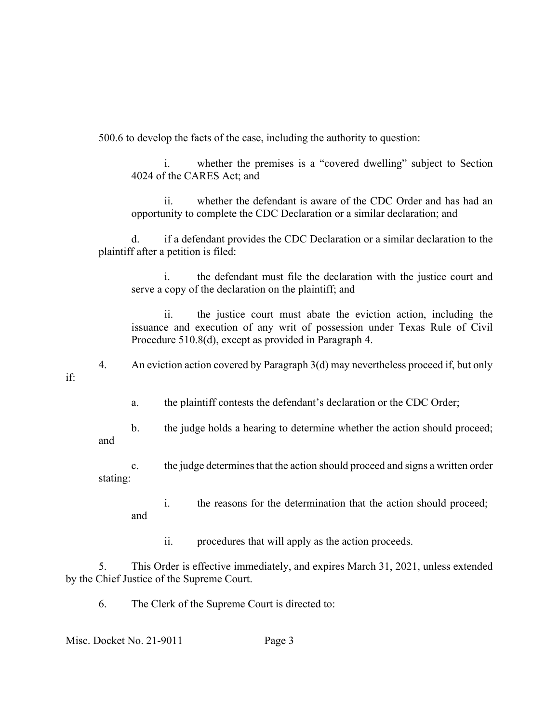500.6 to develop the facts of the case, including the authority to question:

i. whether the premises is a "covered dwelling" subject to Section 4024 of the CARES Act; and

ii. whether the defendant is aware of the CDC Order and has had an opportunity to complete the CDC Declaration or a similar declaration; and

d. if a defendant provides the CDC Declaration or a similar declaration to the plaintiff after a petition is filed:

i. the defendant must file the declaration with the justice court and serve a copy of the declaration on the plaintiff; and

ii. the justice court must abate the eviction action, including the issuance and execution of any writ of possession under Texas Rule of Civil Procedure 510.8(d), except as provided in Paragraph 4.

4. An eviction action covered by Paragraph 3(d) may nevertheless proceed if, but only if:

a. the plaintiff contests the defendant's declaration or the CDC Order;

b. the judge holds a hearing to determine whether the action should proceed;

c. the judge determines that the action should proceed and signs a written order stating:

i. the reasons for the determination that the action should proceed; and

ii. procedures that will apply as the action proceeds.

5. This Order is effective immediately, and expires March 31, 2021, unless extended by the Chief Justice of the Supreme Court.

6. The Clerk of the Supreme Court is directed to:

Misc. Docket No. 21-9011 Page 3

and